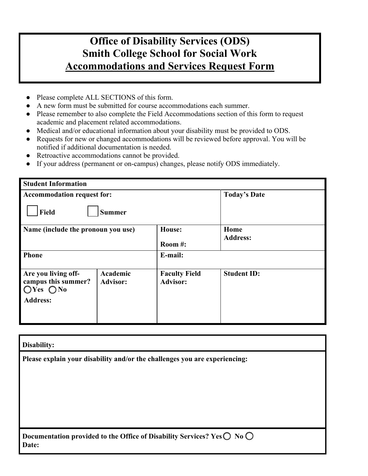## **Office of Disability Services (ODS) Smith College School for Social Work Accommodations and Services Request Form**

- Please complete ALL SECTIONS of this form.
- A new form must be submitted for course accommodations each summer.
- Please remember to also complete the Field Accommodations section of this form to request academic and placement related accommodations.
- Medical and/or educational information about your disability must be provided to ODS.
- Requests for new or changed accommodations will be reviewed before approval. You will be notified if additional documentation is needed.
- Retroactive accommodations cannot be provided.
- If your address (permanent or on-campus) changes, please notify ODS immediately.

| <b>Student Information</b>                                                    |                             |                                         |                     |
|-------------------------------------------------------------------------------|-----------------------------|-----------------------------------------|---------------------|
| <b>Accommodation request for:</b>                                             |                             |                                         | <b>Today's Date</b> |
| <b>Field</b><br><b>Summer</b>                                                 |                             |                                         |                     |
| Name (include the pronoun you use)                                            |                             | <b>House:</b>                           | Home                |
|                                                                               |                             | Room $#$ :                              | <b>Address:</b>     |
| <b>Phone</b>                                                                  |                             | E-mail:                                 |                     |
| Are you living off-<br>campus this summer?<br>$OYes$ $ONo$<br><b>Address:</b> | Academic<br><b>Advisor:</b> | <b>Faculty Field</b><br><b>Advisor:</b> | <b>Student ID:</b>  |

| Disability:                                                                                        |  |  |
|----------------------------------------------------------------------------------------------------|--|--|
| Please explain your disability and/or the challenges you are experiencing:                         |  |  |
|                                                                                                    |  |  |
|                                                                                                    |  |  |
|                                                                                                    |  |  |
|                                                                                                    |  |  |
| Documentation provided to the Office of Disability Services? Yes $\bigcirc$ No $\bigcirc$<br>Date: |  |  |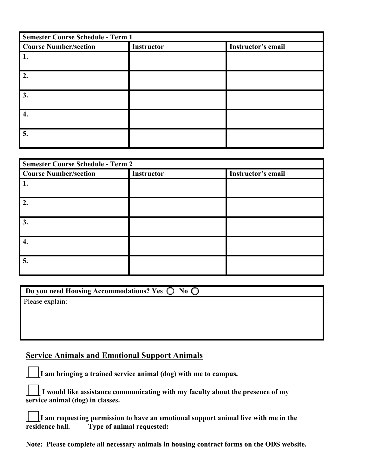| <b>Semester Course Schedule - Term 1</b> |            |                    |
|------------------------------------------|------------|--------------------|
| <b>Course Number/section</b>             | Instructor | Instructor's email |
| 1.                                       |            |                    |
| 2.                                       |            |                    |
| 3.                                       |            |                    |
| 4.                                       |            |                    |
| 5.                                       |            |                    |

| <b>Semester Course Schedule - Term 2</b> |                   |                    |
|------------------------------------------|-------------------|--------------------|
| <b>Course Number/section</b>             | <b>Instructor</b> | Instructor's email |
| 1.                                       |                   |                    |
| 2.                                       |                   |                    |
| 3.                                       |                   |                    |
| 4.                                       |                   |                    |
| 5.                                       |                   |                    |

| Do you need Housing Accommodations? Yes $\bigcirc$ No $\bigcirc$ |
|------------------------------------------------------------------|
| Please explain:                                                  |
|                                                                  |
|                                                                  |
|                                                                  |

### **Service Animals and Emotional Support Animals**

**\_\_\_\_I am bringing a trained service animal (dog) with me to campus.**

**\_\_\_\_ I would like assistance communicating with my faculty about the presence of my service animal (dog) in classes.**

**\_\_\_\_I am requesting permission to have an emotional support animal live with me in the residence hall. Type of animal requested:** 

**Note: Please complete all necessary animals in housing contract forms on the ODS website.**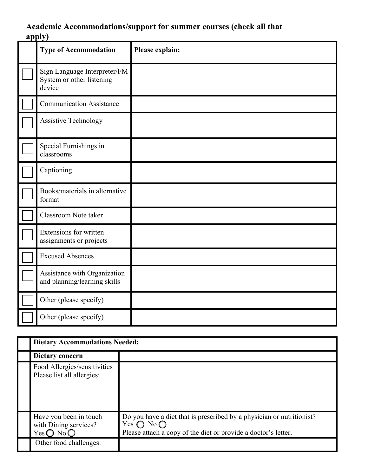### **Academic Accommodations/support for summer courses (check all that apply)**

| <b>Type of Accommodation</b>                                        | Please explain: |
|---------------------------------------------------------------------|-----------------|
| Sign Language Interpreter/FM<br>System or other listening<br>device |                 |
| <b>Communication Assistance</b>                                     |                 |
| <b>Assistive Technology</b>                                         |                 |
| Special Furnishings in<br>classrooms                                |                 |
| Captioning                                                          |                 |
| Books/materials in alternative<br>format                            |                 |
| Classroom Note taker                                                |                 |
| Extensions for written<br>assignments or projects                   |                 |
| <b>Excused Absences</b>                                             |                 |
| Assistance with Organization<br>and planning/learning skills        |                 |
| Other (please specify)                                              |                 |
| Other (please specify)                                              |                 |

| <b>Dietary Accommodations Needed:</b>                                           |                                                                                                                                                                       |  |
|---------------------------------------------------------------------------------|-----------------------------------------------------------------------------------------------------------------------------------------------------------------------|--|
| Dietary concern                                                                 |                                                                                                                                                                       |  |
| Food Allergies/sensitivities<br>Please list all allergies:                      |                                                                                                                                                                       |  |
| Have you been in touch<br>with Dining services?<br>Yes $\bigcirc$ No $\bigcirc$ | Do you have a diet that is prescribed by a physician or nutritionist?<br>Yes $\bigcap$ No $\bigcap$<br>Please attach a copy of the diet or provide a doctor's letter. |  |
| Other food challenges:                                                          |                                                                                                                                                                       |  |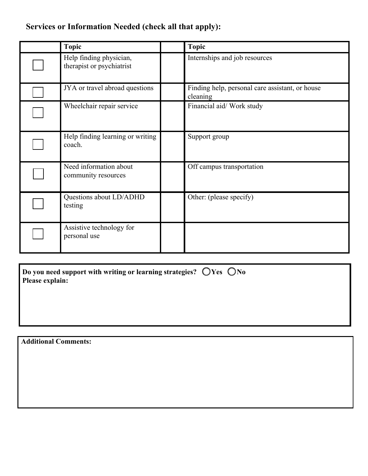### **Services or Information Needed (check all that apply):**

| <b>Topic</b>                                         | <b>Topic</b>                                                |
|------------------------------------------------------|-------------------------------------------------------------|
| Help finding physician,<br>therapist or psychiatrist | Internships and job resources                               |
| JYA or travel abroad questions                       | Finding help, personal care assistant, or house<br>cleaning |
| Wheelchair repair service                            | Financial aid/ Work study                                   |
| Help finding learning or writing<br>coach.           | Support group                                               |
| Need information about<br>community resources        | Off campus transportation                                   |
| Questions about LD/ADHD<br>testing                   | Other: (please specify)                                     |
| Assistive technology for<br>personal use             |                                                             |

| Do you need support with writing or learning strategies? $\bigcirc$ Yes $\bigcirc$ No |  |
|---------------------------------------------------------------------------------------|--|
| Please explain:                                                                       |  |

**Additional Comments:**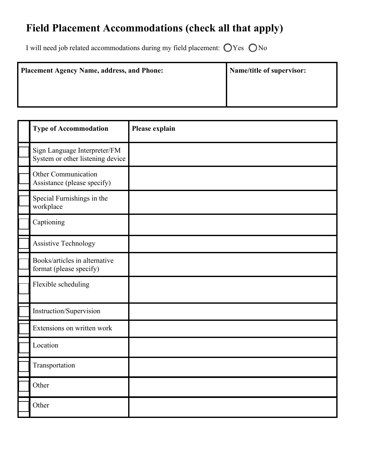# **Field Placement Accommodations (check all that apply)**

I will need job related accommodations during my field placement:  $\bigcirc$  Yes  $\bigcirc$  No

| <b>Placement Agency Name, address, and Phone:</b> | Name/title of supervisor: |
|---------------------------------------------------|---------------------------|
|                                                   |                           |
|                                                   |                           |

| <b>Type of Accommodation</b>                                     | Please explain |
|------------------------------------------------------------------|----------------|
| Sign Language Interpreter/FM<br>System or other listening device |                |
| <b>Other Communication</b><br>Assistance (please specify)        |                |
| Special Furnishings in the<br>workplace                          |                |
| Captioning                                                       |                |
| <b>Assistive Technology</b>                                      |                |
| Books/articles in alternative<br>format (please specify)         |                |
| Flexible scheduling                                              |                |
| Instruction/Supervision                                          |                |
| Extensions on written work                                       |                |
| Location                                                         |                |
| Transportation                                                   |                |
| Other                                                            |                |
| Other                                                            |                |